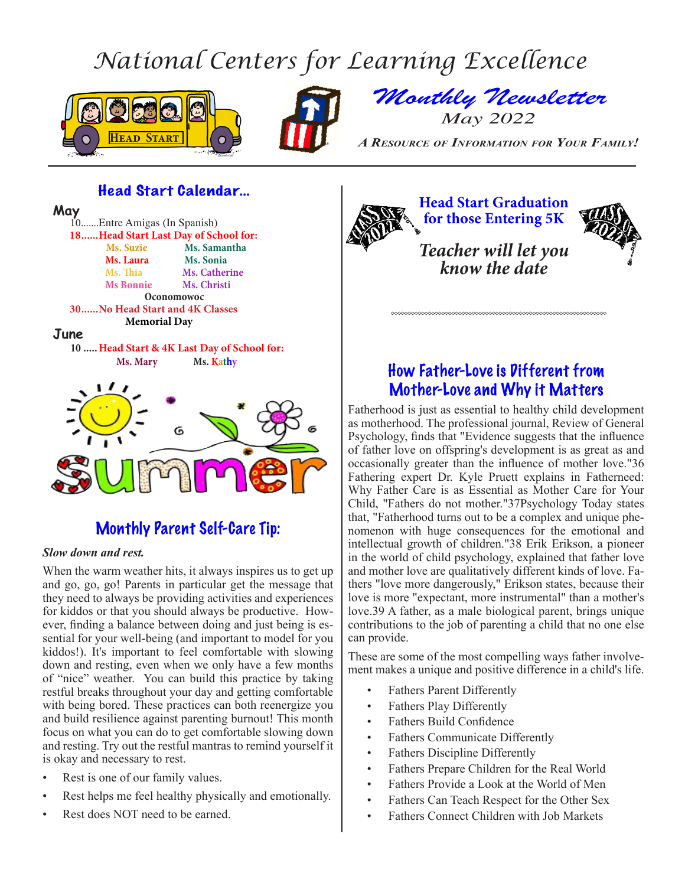# *National Centers for Learning Excellence*





*Monthly Newsletter May 2022*

**HEAD A RESOURCE OF INFORMATION FOR YOUR FAMILY!** 

### Head Start Calendar…



# Monthly Parent Self-Care Tip:

### *Slow down and rest.*

When the warm weather hits, it always inspires us to get up and go, go, go! Parents in particular get the message that they need to always be providing activities and experiences for kiddos or that you should always be productive. However, finding a balance between doing and just being is essential for your well-being (and important to model for you kiddos!). It's important to feel comfortable with slowing down and resting, even when we only have a few months of "nice" weather. You can build this practice by taking restful breaks throughout your day and getting comfortable with being bored. These practices can both reenergize you and build resilience against parenting burnout! This month focus on what you can do to get comfortable slowing down and resting. Try out the restful mantras to remind yourself it is okay and necessary to rest.

- Rest is one of our family values.
- Rest helps me feel healthy physically and emotionally.
- Rest does NOT need to be earned.

**Head Start Graduation for those Entering 5K** *Teacher will let you know the date*

## How Father-Love is Different from Mother-Love and Why it Matters

Fatherhood is just as essential to healthy child development as motherhood. The professional journal, Review of General Psychology, finds that "Evidence suggests that the influence of father love on offspring's development is as great as and occasionally greater than the influence of mother love."36 Fathering expert Dr. Kyle Pruett explains in Fatherneed: Why Father Care is as Essential as Mother Care for Your Child, "Fathers do not mother."37Psychology Today states that, "Fatherhood turns out to be a complex and unique phenomenon with huge consequences for the emotional and intellectual growth of children."38 Erik Erikson, a pioneer in the world of child psychology, explained that father love and mother love are qualitatively different kinds of love. Fathers "love more dangerously," Erikson states, because their love is more "expectant, more instrumental" than a mother's love.39 A father, as a male biological parent, brings unique contributions to the job of parenting a child that no one else can provide.

These are some of the most compelling ways father involvement makes a unique and positive difference in a child's life.

- Fathers Parent Differently
- Fathers Play Differently
- Fathers Build Confidence
- Fathers Communicate Differently
- Fathers Discipline Differently
- Fathers Prepare Children for the Real World
- Fathers Provide a Look at the World of Men
- Fathers Can Teach Respect for the Other Sex
- Fathers Connect Children with Job Markets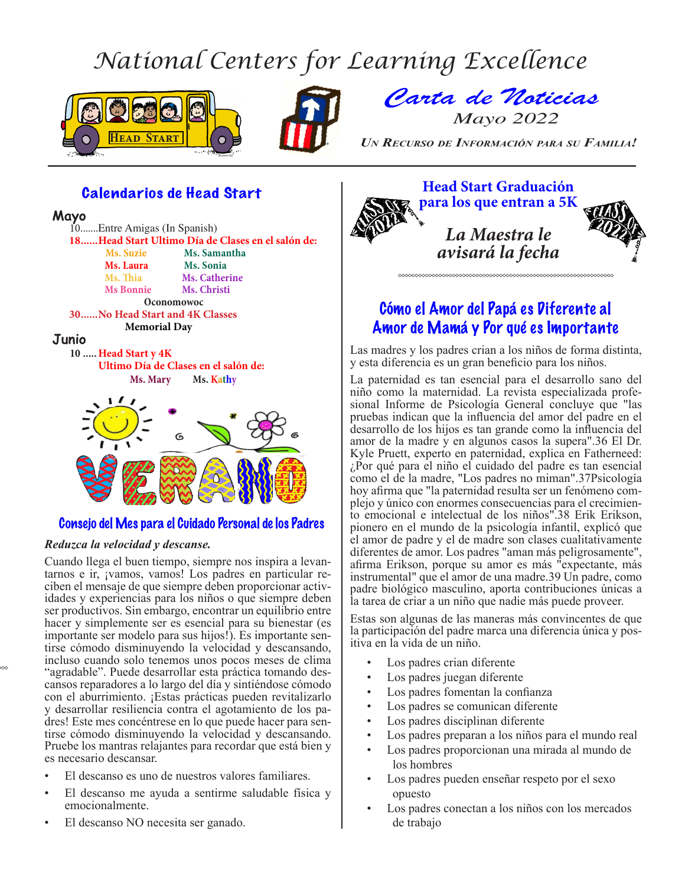# *National Centers for Learning Excellence*





*Carta de Noticias Mayo 2022*

**Head Start** *Un Recurso de Información para su Familia!* 

### Calendarios de Head Start

#### **Mayo**

10.......Entre Amigas (In Spanish) **18������Head Start Ultimo Día de Clases en el salón de: Ms. Suzie Ms. Samantha Ms. Laura** Ms. Sonia<br> **Ms. Thia** Ms. Cather **Ms. Catherine Ms Bonnie Ms. Christi Oconomowoc 30������No Head Start and 4K Classes Memorial Day Junio 10 .....Head Start y 4K Ultimo Día de Clases en el salón de: Ms. Mary Ms. Kathy**



### Consejo del Mes para el Cuidado Personal de los Padres

### *Reduzca la velocidad y descanse.*

Cuando llega el buen tiempo, siempre nos inspira a levantarnos e ir, ¡vamos, vamos! Los padres en particular reciben el mensaje de que siempre deben proporcionar actividades y experiencias para los niños o que siempre deben ser productivos. Sin embargo, encontrar un equilibrio entre hacer y simplemente ser es esencial para su bienestar (es importante ser modelo para sus hijos!). Es importante sentirse cómodo disminuyendo la velocidad y descansando, incluso cuando solo tenemos unos pocos meses de clima "agradable". Puede desarrollar esta práctica tomando descansos reparadores a lo largo del día y sintiéndose cómodo con el aburrimiento. ¡Estas prácticas pueden revitalizarlo y desarrollar resiliencia contra el agotamiento de los padres! Este mes concéntrese en lo que puede hacer para sentirse cómodo disminuyendo la velocidad y descansando. Pruebe los mantras relajantes para recordar que está bien y es necesario descansar.

- El descanso es uno de nuestros valores familiares.
- El descanso me ayuda a sentirme saludable física y emocionalmente.
- El descanso NO necesita ser ganado.



## Cómo el Amor del Papá es Diferente al Amor de Mamá y Por qué es Importante

Las madres y los padres crian a los niños de forma distinta, y esta diferencia es un gran beneficio para los niños.

La paternidad es tan esencial para el desarrollo sano del niño como la maternidad. La revista especializada profesional Informe de Psicología General concluye que "las pruebas indican que la influencia del amor del padre en el desarrollo de los hijos es tan grande como la influencia del amor de la madre y en algunos casos la supera".36 El Dr. Kyle Pruett, experto en paternidad, explica en Fatherneed: ¿Por qué para el niño el cuidado del padre es tan esencial como el de la madre, "Los padres no miman".37Psicología plejo y único con enormes consecuencias para el crecimien-<br>to emocional e intelectual de los niños".38 Erik Erikson, pionero en el mundo de la psicología infantil, explicó que el amor de padre y el de madre son clases cualitativamente diferentes de amor. Los padres "aman más peligrosamente", afirma Erikson, porque su amor es más "expectante, más instrumental" que el amor de una madre.39 Un padre, como padre biológico masculino, aporta contribuciones únicas a la tarea de criar a un niño que nadie más puede proveer.

Estas son algunas de las maneras más convincentes de que la participación del padre marca una diferencia única y positiva en la vida de un niño.

- Los padres crian diferente
- Los padres juegan diferente
- Los padres fomentan la confianza
- Los padres se comunican diferente
- Los padres disciplinan diferente
- Los padres preparan a los niños para el mundo real
- Los padres proporcionan una mirada al mundo de los hombres
- Los padres pueden enseñar respeto por el sexo opuesto
- Los padres conectan a los niños con los mercados de trabajo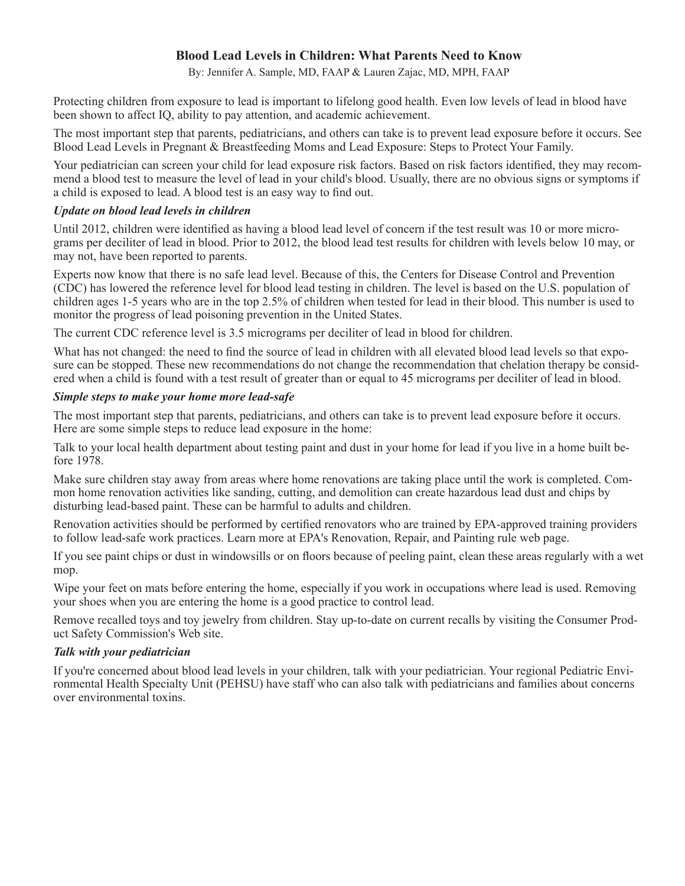### **Blood Lead Levels in Children: What Parents Need to Know**

By: Jennifer A. Sample, MD, FAAP & Lauren Zajac, MD, MPH, FAAP

Protecting children from exposure to lead is important to lifelong good health. Even low levels of lead in blood have been shown to affect IQ, ability to pay attention, and academic achievement.

The most important step that parents, pediatricians, and others can take is to prevent lead exposure before it occurs. See Blood Lead Levels in Pregnant & Breastfeeding Moms and Lead Exposure: Steps to Protect Your Family.

Your pediatrician can screen your child for lead exposure risk factors. Based on risk factors identified, they may recommend a blood test to measure the level of lead in your child's blood. Usually, there are no obvious signs or symptoms if a child is exposed to lead. A blood test is an easy way to find out.

### *Update on blood lead levels in children*

Until 2012, children were identified as having a blood lead level of concern if the test result was 10 or more micrograms per deciliter of lead in blood. Prior to 2012, the blood lead test results for children with levels below 10 may, or may not, have been reported to parents.

Experts now know that there is no safe lead level. Because of this, the Centers for Disease Control and Prevention (CDC) has lowered the reference level for blood lead testing in children. The level is based on the U.S. population of children ages 1-5 years who are in the top 2.5% of children when tested for lead in their blood. This number is used to monitor the progress of lead poisoning prevention in the United States.

The current CDC reference level is 3.5 micrograms per deciliter of lead in blood for children.

What has not changed: the need to find the source of lead in children with all elevated blood lead levels so that exposure can be stopped. These new recommendations do not change the recommendation that chelation therapy be considered when a child is found with a test result of greater than or equal to 45 micrograms per deciliter of lead in blood.

### *Simple steps to make your home more lead-safe*

The most important step that parents, pediatricians, and others can take is to prevent lead exposure before it occurs. Here are some simple steps to reduce lead exposure in the home:

Talk to your local health department about testing paint and dust in your home for lead if you live in a home built before 1978.

Make sure children stay away from areas where home renovations are taking place until the work is completed. Common home renovation activities like sanding, cutting, and demolition can create hazardous lead dust and chips by disturbing lead-based paint. These can be harmful to adults and children.

Renovation activities should be performed by certified renovators who are trained by EPA-approved training providers to follow lead-safe work practices. Learn more at EPA's Renovation, Repair, and Painting rule web page.

If you see paint chips or dust in windowsills or on floors because of peeling paint, clean these areas regularly with a wet mop.

Wipe your feet on mats before entering the home, especially if you work in occupations where lead is used. Removing your shoes when you are entering the home is a good practice to control lead.

Remove recalled toys and toy jewelry from children. Stay up-to-date on current recalls by visiting the Consumer Product Safety Commission's Web site.

### *Talk with your pediatrician*

If you're concerned about blood lead levels in your children, talk with your pediatrician. Your regional Pediatric Environmental Health Specialty Unit (PEHSU) have staff who can also talk with pediatricians and families about concerns over environmental toxins.